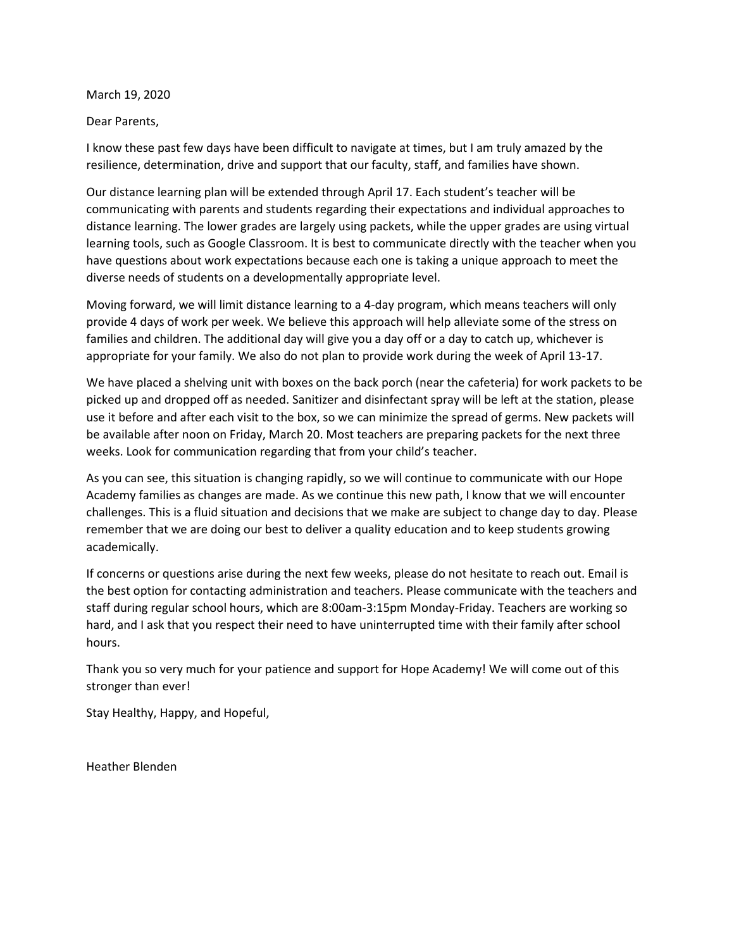March 19, 2020

Dear Parents,

I know these past few days have been difficult to navigate at times, but I am truly amazed by the resilience, determination, drive and support that our faculty, staff, and families have shown.

Our distance learning plan will be extended through April 17. Each student's teacher will be communicating with parents and students regarding their expectations and individual approaches to distance learning. The lower grades are largely using packets, while the upper grades are using virtual learning tools, such as Google Classroom. It is best to communicate directly with the teacher when you have questions about work expectations because each one is taking a unique approach to meet the diverse needs of students on a developmentally appropriate level.

Moving forward, we will limit distance learning to a 4-day program, which means teachers will only provide 4 days of work per week. We believe this approach will help alleviate some of the stress on families and children. The additional day will give you a day off or a day to catch up, whichever is appropriate for your family. We also do not plan to provide work during the week of April 13-17.

We have placed a shelving unit with boxes on the back porch (near the cafeteria) for work packets to be picked up and dropped off as needed. Sanitizer and disinfectant spray will be left at the station, please use it before and after each visit to the box, so we can minimize the spread of germs. New packets will be available after noon on Friday, March 20. Most teachers are preparing packets for the next three weeks. Look for communication regarding that from your child's teacher.

As you can see, this situation is changing rapidly, so we will continue to communicate with our Hope Academy families as changes are made. As we continue this new path, I know that we will encounter challenges. This is a fluid situation and decisions that we make are subject to change day to day. Please remember that we are doing our best to deliver a quality education and to keep students growing academically.

If concerns or questions arise during the next few weeks, please do not hesitate to reach out. Email is the best option for contacting administration and teachers. Please communicate with the teachers and staff during regular school hours, which are 8:00am-3:15pm Monday-Friday. Teachers are working so hard, and I ask that you respect their need to have uninterrupted time with their family after school hours.

Thank you so very much for your patience and support for Hope Academy! We will come out of this stronger than ever!

Stay Healthy, Happy, and Hopeful,

Heather Blenden